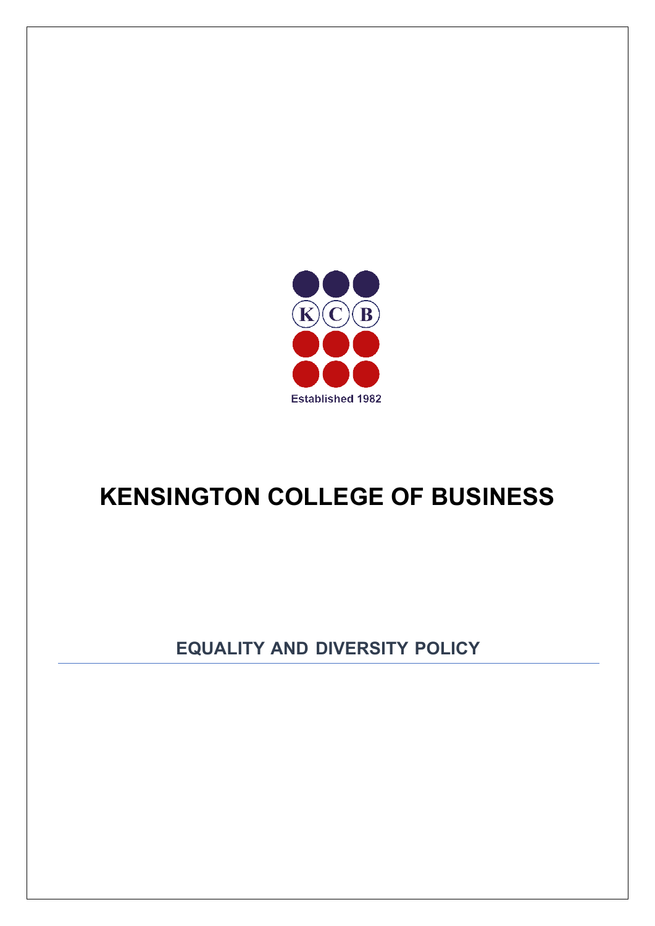

# **KENSINGTON COLLEGE OF BUSINESS**

**EQUALITY AND DIVERSITY POLICY**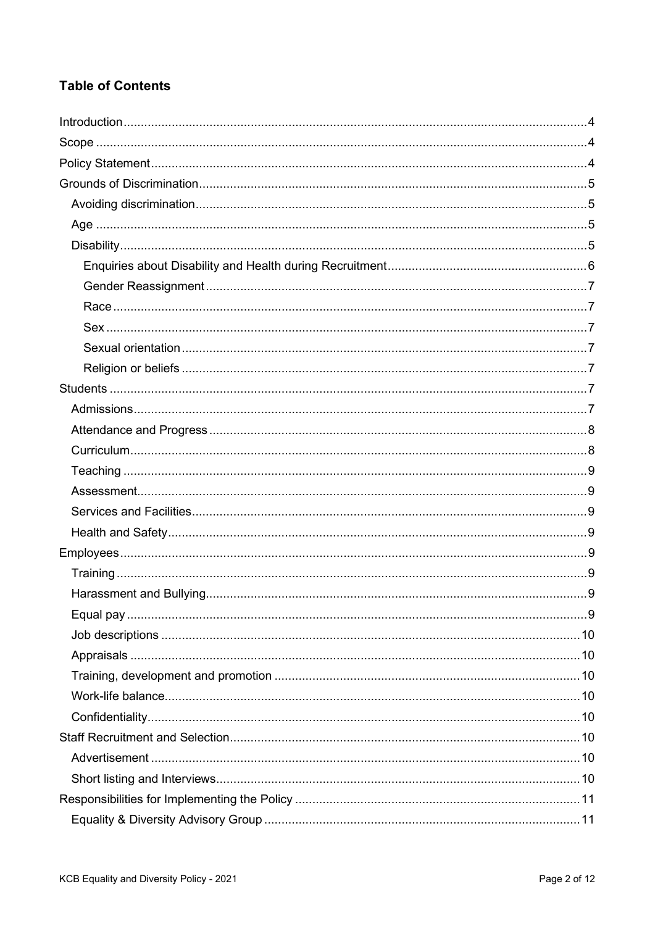# **Table of Contents**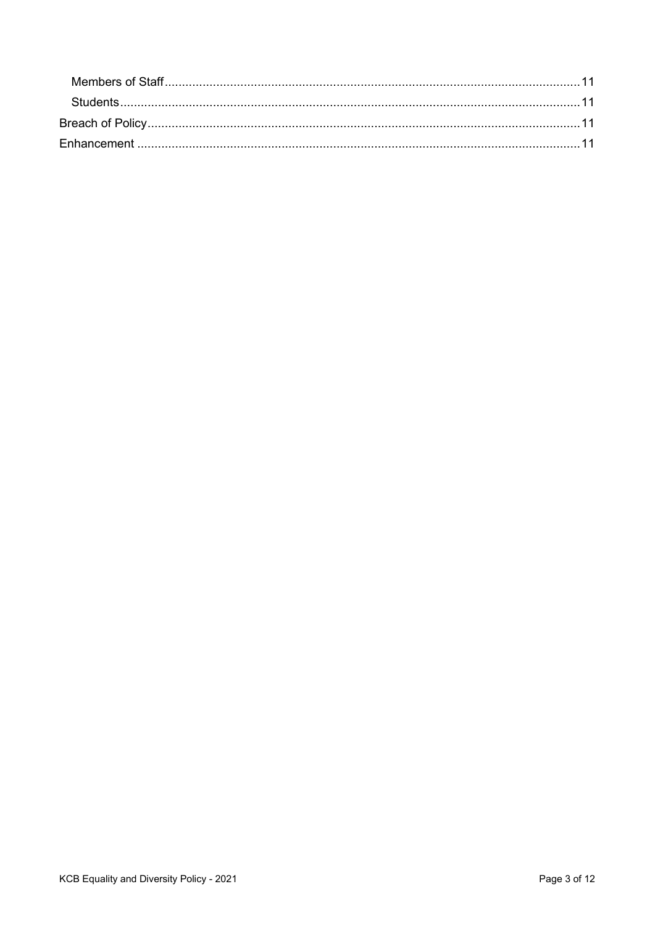| <b>Students</b> |  |
|-----------------|--|
|                 |  |
|                 |  |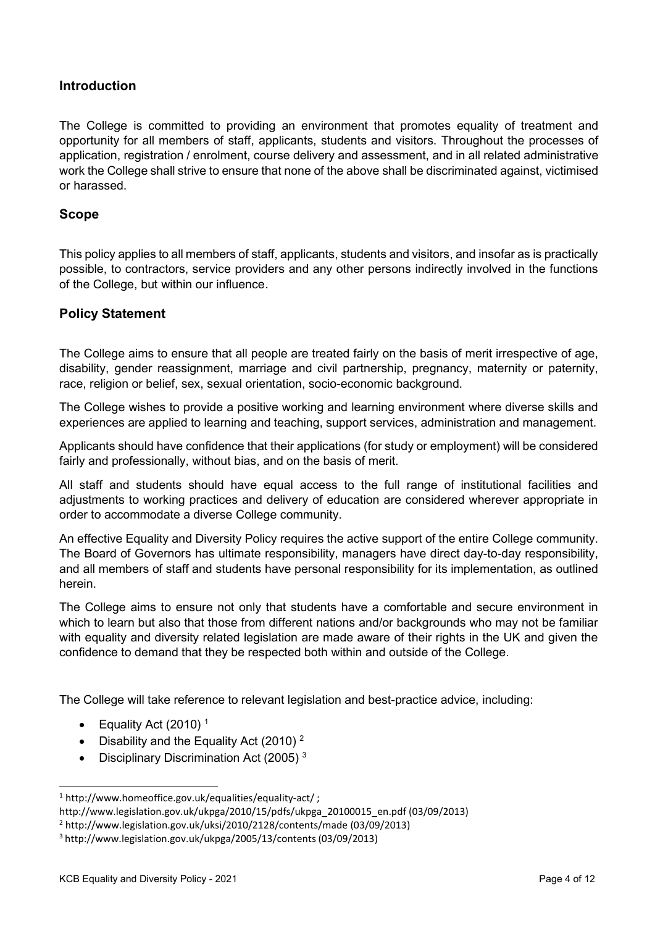## <span id="page-3-0"></span>**Introduction**

The College is committed to providing an environment that promotes equality of treatment and opportunity for all members of staff, applicants, students and visitors. Throughout the processes of application, registration / enrolment, course delivery and assessment, and in all related administrative work the College shall strive to ensure that none of the above shall be discriminated against, victimised or harassed.

#### <span id="page-3-1"></span>**Scope**

This policy applies to all members of staff, applicants, students and visitors, and insofar as is practically possible, to contractors, service providers and any other persons indirectly involved in the functions of the College, but within our influence.

## <span id="page-3-2"></span>**Policy Statement**

The College aims to ensure that all people are treated fairly on the basis of merit irrespective of age, disability, gender reassignment, marriage and civil partnership, pregnancy, maternity or paternity, race, religion or belief, sex, sexual orientation, socio-economic background.

The College wishes to provide a positive working and learning environment where diverse skills and experiences are applied to learning and teaching, support services, administration and management.

Applicants should have confidence that their applications (for study or employment) will be considered fairly and professionally, without bias, and on the basis of merit.

All staff and students should have equal access to the full range of institutional facilities and adjustments to working practices and delivery of education are considered wherever appropriate in order to accommodate a diverse College community.

An effective Equality and Diversity Policy requires the active support of the entire College community. The Board of Governors has ultimate responsibility, managers have direct day-to-day responsibility, and all members of staff and students have personal responsibility for its implementation, as outlined herein.

The College aims to ensure not only that students have a comfortable and secure environment in which to learn but also that those from different nations and/or backgrounds who may not be familiar with equality and diversity related legislation are made aware of their rights in the UK and given the confidence to demand that they be respected both within and outside of the College.

The College will take reference to relevant legislation and best-practice advice, including:

- Equality Act (2010)<sup>1</sup>
- Disability and the Equality Act (2010)  $2$
- Disciplinary Discrimination Act  $(2005)^3$

<sup>1</sup> [http://www.homeoffice.gov.uk/equalities/equality-act/ ;](http://www.homeoffice.gov.uk/equalities/equality-act/)

[http://www.legislation.gov.uk/ukpga/2010/15/pdfs/ukpga\\_20100015\\_en.pdf](http://www.legislation.gov.uk/ukpga/2010/15/pdfs/ukpga_20100015_en.pdf) (03/09/2013)

<sup>2</sup> <http://www.legislation.gov.uk/uksi/2010/2128/contents/made> (03/09/2013)

<sup>3</sup> <http://www.legislation.gov.uk/ukpga/2005/13/contents> (03/09/2013)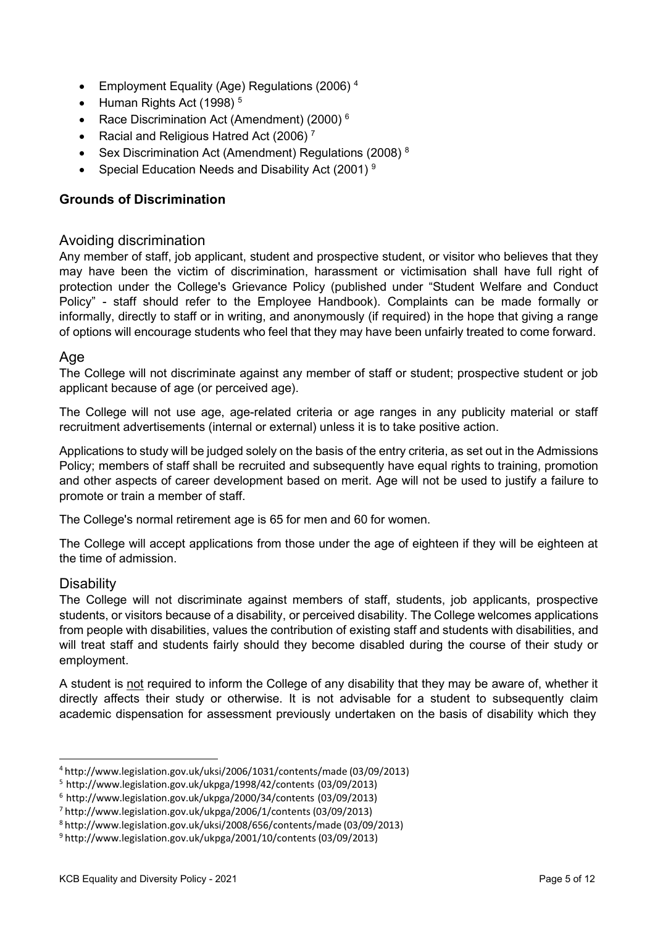- Employment Equality (Age) Regulations (2006)<sup>4</sup>
- Human Rights Act (1998)<sup>5</sup>
- Race Discrimination Act (Amendment) (2000)<sup>6</sup>
- Racial and Religious Hatred Act (2006)<sup>7</sup>
- Sex Discrimination Act (Amendment) Regulations (2008)<sup>8</sup>
- Special Education Needs and Disability Act (2001) <sup>9</sup>

## <span id="page-4-0"></span>**Grounds of Discrimination**

## <span id="page-4-1"></span>Avoiding discrimination

Any member of staff, job applicant, student and prospective student, or visitor who believes that they may have been the victim of discrimination, harassment or victimisation shall have full right of protection under the College's Grievance Policy (published under "Student Welfare and Conduct Policy" - staff should refer to the Employee Handbook). Complaints can be made formally or informally, directly to staff or in writing, and anonymously (if required) in the hope that giving a range of options will encourage students who feel that they may have been unfairly treated to come forward.

## <span id="page-4-2"></span>Age

The College will not discriminate against any member of staff or student; prospective student or job applicant because of age (or perceived age).

The College will not use age, age-related criteria or age ranges in any publicity material or staff recruitment advertisements (internal or external) unless it is to take positive action.

Applications to study will be judged solely on the basis of the entry criteria, as set out in the Admissions Policy; members of staff shall be recruited and subsequently have equal rights to training, promotion and other aspects of career development based on merit. Age will not be used to justify a failure to promote or train a member of staff.

The College's normal retirement age is 65 for men and 60 for women.

The College will accept applications from those under the age of eighteen if they will be eighteen at the time of admission.

## <span id="page-4-3"></span>**Disability**

The College will not discriminate against members of staff, students, job applicants, prospective students, or visitors because of a disability, or perceived disability. The College welcomes applications from people with disabilities, values the contribution of existing staff and students with disabilities, and will treat staff and students fairly should they become disabled during the course of their study or employment.

A student is not required to inform the College of any disability that they may be aware of, whether it directly affects their study or otherwise. It is not advisable for a student to subsequently claim academic dispensation for assessment previously undertaken on the basis of disability which they

<sup>4</sup> <http://www.legislation.gov.uk/uksi/2006/1031/contents/made> (03/09/2013)

<sup>5</sup> <http://www.legislation.gov.uk/ukpga/1998/42/contents> (03/09/2013)

<sup>6</sup> <http://www.legislation.gov.uk/ukpga/2000/34/contents> (03/09/2013)

<sup>7</sup> <http://www.legislation.gov.uk/ukpga/2006/1/contents> (03/09/2013)

<sup>8</sup> <http://www.legislation.gov.uk/uksi/2008/656/contents/made> (03/09/2013)

<sup>9</sup> <http://www.legislation.gov.uk/ukpga/2001/10/contents> (03/09/2013)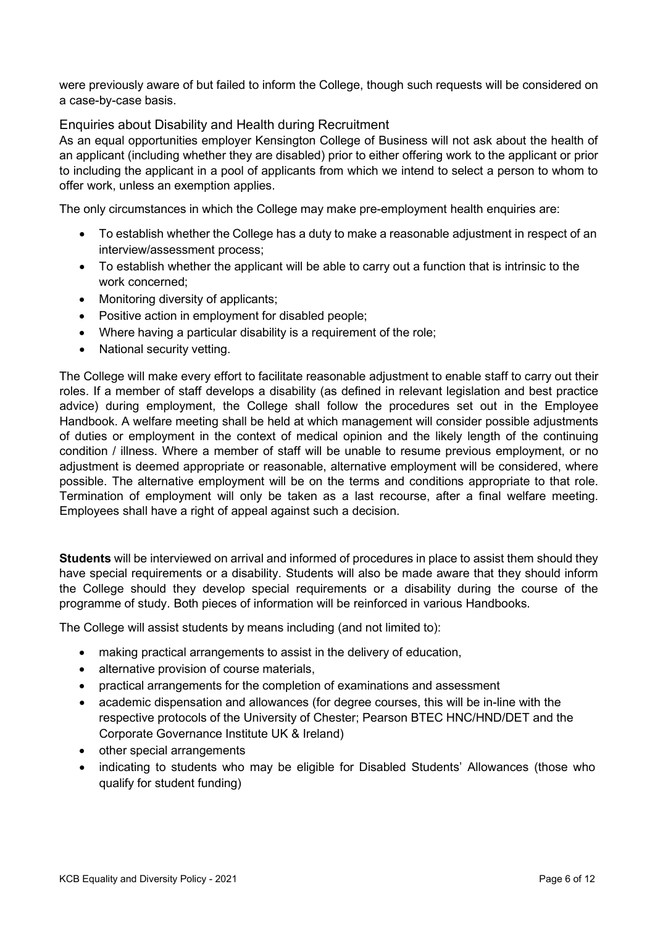were previously aware of but failed to inform the College, though such requests will be considered on a case-by-case basis.

<span id="page-5-0"></span>Enquiries about Disability and Health during Recruitment

As an equal opportunities employer Kensington College of Business will not ask about the health of an applicant (including whether they are disabled) prior to either offering work to the applicant or prior to including the applicant in a pool of applicants from which we intend to select a person to whom to offer work, unless an exemption applies.

The only circumstances in which the College may make pre-employment health enquiries are:

- To establish whether the College has a duty to make a reasonable adjustment in respect of an interview/assessment process;
- To establish whether the applicant will be able to carry out a function that is intrinsic to the work concerned;
- Monitoring diversity of applicants;
- Positive action in employment for disabled people;
- Where having a particular disability is a requirement of the role;
- National security vetting.

The College will make every effort to facilitate reasonable adjustment to enable staff to carry out their roles. If a member of staff develops a disability (as defined in relevant legislation and best practice advice) during employment, the College shall follow the procedures set out in the Employee Handbook. A welfare meeting shall be held at which management will consider possible adjustments of duties or employment in the context of medical opinion and the likely length of the continuing condition / illness. Where a member of staff will be unable to resume previous employment, or no adjustment is deemed appropriate or reasonable, alternative employment will be considered, where possible. The alternative employment will be on the terms and conditions appropriate to that role. Termination of employment will only be taken as a last recourse, after a final welfare meeting. Employees shall have a right of appeal against such a decision.

**Students** will be interviewed on arrival and informed of procedures in place to assist them should they have special requirements or a disability. Students will also be made aware that they should inform the College should they develop special requirements or a disability during the course of the programme of study. Both pieces of information will be reinforced in various Handbooks.

The College will assist students by means including (and not limited to):

- making practical arrangements to assist in the delivery of education,
- alternative provision of course materials,
- practical arrangements for the completion of examinations and assessment
- academic dispensation and allowances (for degree courses, this will be in-line with the respective protocols of the University of Chester; Pearson BTEC HNC/HND/DET and the Corporate Governance Institute UK & Ireland)
- other special arrangements
- indicating to students who may be eligible for Disabled Students' Allowances (those who qualify for student funding)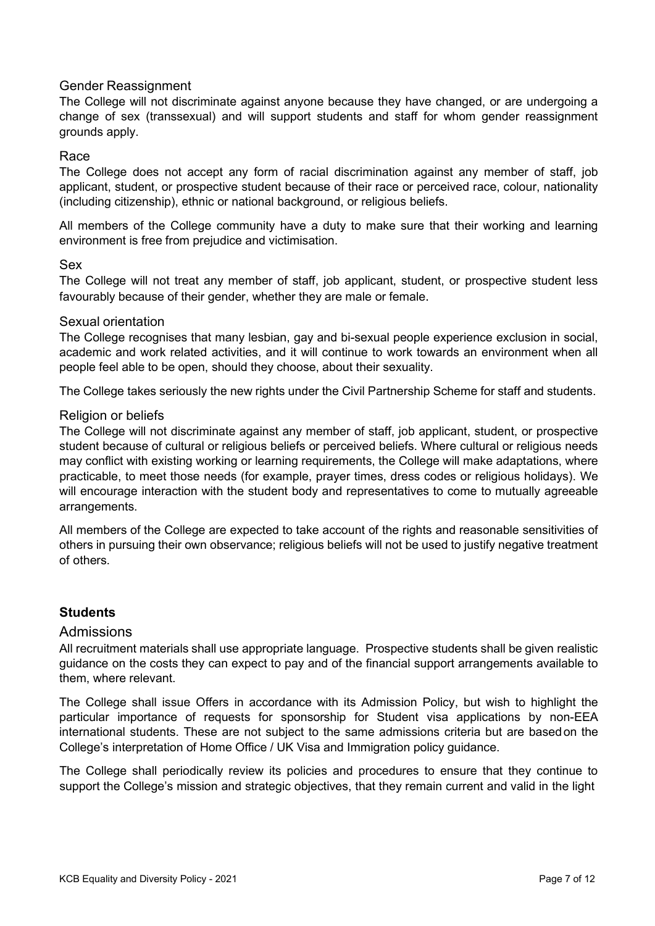#### <span id="page-6-0"></span>Gender Reassignment

The College will not discriminate against anyone because they have changed, or are undergoing a change of sex (transsexual) and will support students and staff for whom gender reassignment grounds apply.

#### <span id="page-6-1"></span>Race

The College does not accept any form of racial discrimination against any member of staff, job applicant, student, or prospective student because of their race or perceived race, colour, nationality (including citizenship), ethnic or national background, or religious beliefs.

All members of the College community have a duty to make sure that their working and learning environment is free from prejudice and victimisation.

#### <span id="page-6-2"></span>Sex

The College will not treat any member of staff, job applicant, student, or prospective student less favourably because of their gender, whether they are male or female.

#### <span id="page-6-3"></span>Sexual orientation

The College recognises that many lesbian, gay and bi-sexual people experience exclusion in social, academic and work related activities, and it will continue to work towards an environment when all people feel able to be open, should they choose, about their sexuality.

The College takes seriously the new rights under the Civil Partnership Scheme for staff and students.

#### <span id="page-6-4"></span>Religion or beliefs

The College will not discriminate against any member of staff, job applicant, student, or prospective student because of cultural or religious beliefs or perceived beliefs. Where cultural or religious needs may conflict with existing working or learning requirements, the College will make adaptations, where practicable, to meet those needs (for example, prayer times, dress codes or religious holidays). We will encourage interaction with the student body and representatives to come to mutually agreeable arrangements.

All members of the College are expected to take account of the rights and reasonable sensitivities of others in pursuing their own observance; religious beliefs will not be used to justify negative treatment of others.

## <span id="page-6-5"></span>**Students**

#### <span id="page-6-6"></span>Admissions

All recruitment materials shall use appropriate language. Prospective students shall be given realistic guidance on the costs they can expect to pay and of the financial support arrangements available to them, where relevant.

The College shall issue Offers in accordance with its Admission Policy, but wish to highlight the particular importance of requests for sponsorship for Student visa applications by non-EEA international students. These are not subject to the same admissions criteria but are basedon the College's interpretation of Home Office / UK Visa and Immigration policy guidance.

The College shall periodically review its policies and procedures to ensure that they continue to support the College's mission and strategic objectives, that they remain current and valid in the light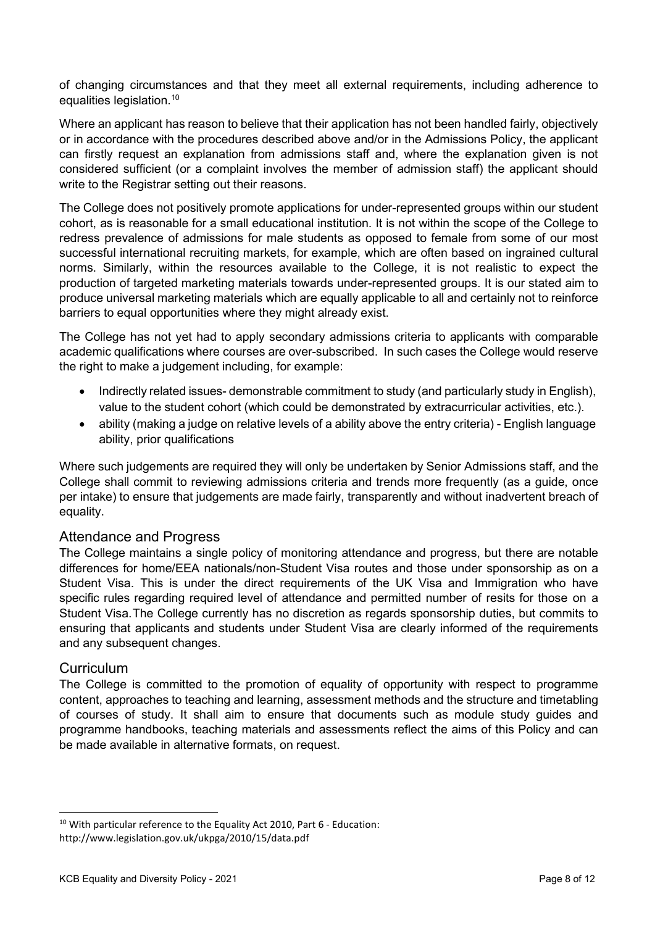of changing circumstances and that they meet all external requirements, including adherence to equalities legislation.10

Where an applicant has reason to believe that their application has not been handled fairly, objectively or in accordance with the procedures described above and/or in the Admissions Policy, the applicant can firstly request an explanation from admissions staff and, where the explanation given is not considered sufficient (or a complaint involves the member of admission staff) the applicant should write to the Registrar setting out their reasons.

The College does not positively promote applications for under-represented groups within our student cohort, as is reasonable for a small educational institution. It is not within the scope of the College to redress prevalence of admissions for male students as opposed to female from some of our most successful international recruiting markets, for example, which are often based on ingrained cultural norms. Similarly, within the resources available to the College, it is not realistic to expect the production of targeted marketing materials towards under-represented groups. It is our stated aim to produce universal marketing materials which are equally applicable to all and certainly not to reinforce barriers to equal opportunities where they might already exist.

The College has not yet had to apply secondary admissions criteria to applicants with comparable academic qualifications where courses are over-subscribed. In such cases the College would reserve the right to make a judgement including, for example:

- Indirectly related issues- demonstrable commitment to study (and particularly study in English), value to the student cohort (which could be demonstrated by extracurricular activities, etc.).
- ability (making a judge on relative levels of a ability above the entry criteria) English language ability, prior qualifications

Where such judgements are required they will only be undertaken by Senior Admissions staff, and the College shall commit to reviewing admissions criteria and trends more frequently (as a guide, once per intake) to ensure that judgements are made fairly, transparently and without inadvertent breach of equality.

## <span id="page-7-0"></span>Attendance and Progress

The College maintains a single policy of monitoring attendance and progress, but there are notable differences for home/EEA nationals/non-Student Visa routes and those under sponsorship as on a Student Visa. This is under the direct requirements of the UK Visa and Immigration who have specific rules regarding required level of attendance and permitted number of resits for those on a Student Visa.The College currently has no discretion as regards sponsorship duties, but commits to ensuring that applicants and students under Student Visa are clearly informed of the requirements and any subsequent changes.

#### <span id="page-7-1"></span>**Curriculum**

The College is committed to the promotion of equality of opportunity with respect to programme content, approaches to teaching and learning, assessment methods and the structure and timetabling of courses of study. It shall aim to ensure that documents such as module study guides and programme handbooks, teaching materials and assessments reflect the aims of this Policy and can be made available in alternative formats, on request.

<sup>&</sup>lt;sup>10</sup> With particular reference to the Equality Act 2010, Part 6 - Education: <http://www.legislation.gov.uk/ukpga/2010/15/data.pdf>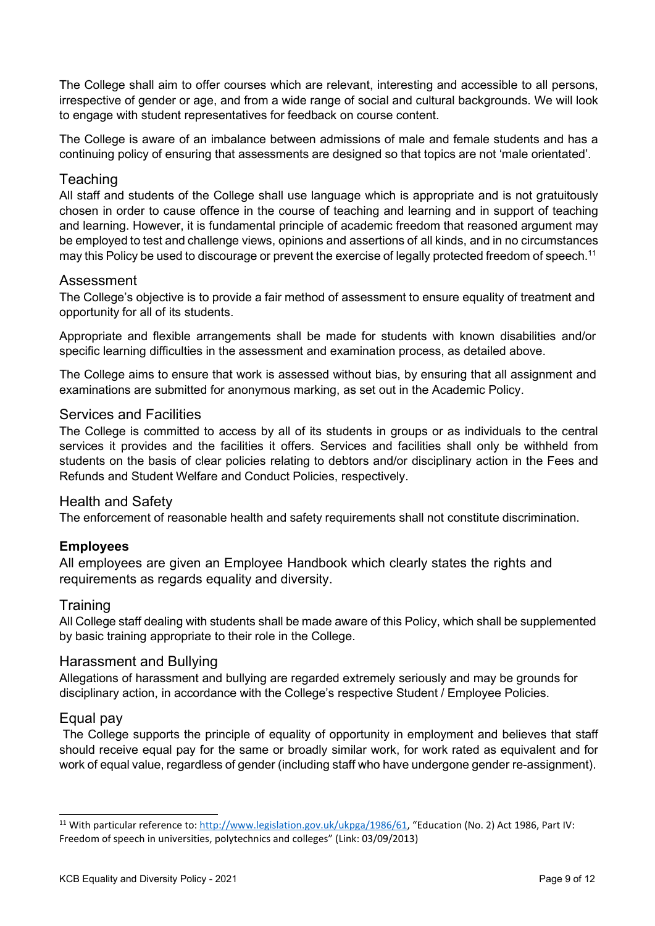The College shall aim to offer courses which are relevant, interesting and accessible to all persons, irrespective of gender or age, and from a wide range of social and cultural backgrounds. We will look to engage with student representatives for feedback on course content.

The College is aware of an imbalance between admissions of male and female students and has a continuing policy of ensuring that assessments are designed so that topics are not 'male orientated'.

## <span id="page-8-0"></span>**Teaching**

All staff and students of the College shall use language which is appropriate and is not gratuitously chosen in order to cause offence in the course of teaching and learning and in support of teaching and learning. However, it is fundamental principle of academic freedom that reasoned argument may be employed to test and challenge views, opinions and assertions of all kinds, and in no circumstances may this Policy be used to discourage or prevent the exercise of legally protected freedom of speech.<sup>11</sup>

## <span id="page-8-1"></span>Assessment

The College's objective is to provide a fair method of assessment to ensure equality of treatment and opportunity for all of its students.

Appropriate and flexible arrangements shall be made for students with known disabilities and/or specific learning difficulties in the assessment and examination process, as detailed above.

The College aims to ensure that work is assessed without bias, by ensuring that all assignment and examinations are submitted for anonymous marking, as set out in the Academic Policy.

#### <span id="page-8-2"></span>Services and Facilities

The College is committed to access by all of its students in groups or as individuals to the central services it provides and the facilities it offers. Services and facilities shall only be withheld from students on the basis of clear policies relating to debtors and/or disciplinary action in the Fees and Refunds and Student Welfare and Conduct Policies, respectively.

#### <span id="page-8-3"></span>Health and Safety

The enforcement of reasonable health and safety requirements shall not constitute discrimination.

## <span id="page-8-4"></span>**Employees**

All employees are given an Employee Handbook which clearly states the rights and requirements as regards equality and diversity.

#### <span id="page-8-5"></span>**Training**

All College staff dealing with students shall be made aware of this Policy, which shall be supplemented by basic training appropriate to their role in the College.

#### <span id="page-8-6"></span>Harassment and Bullying

Allegations of harassment and bullying are regarded extremely seriously and may be grounds for disciplinary action, in accordance with the College's respective Student / Employee Policies.

#### <span id="page-8-7"></span>Equal pay

The College supports the principle of equality of opportunity in employment and believes that staff should receive equal pay for the same or broadly similar work, for work rated as equivalent and for work of equal value, regardless of gender (including staff who have undergone gender re-assignment).

<sup>11</sup> With particular reference to[: http://www.legislation.gov.uk/ukpga/1986/61, "](http://www.legislation.gov.uk/ukpga/1986/61)Education (No. 2) Act 1986, Part IV: Freedom of speech in universities, polytechnics and colleges" (Link: 03/09/2013)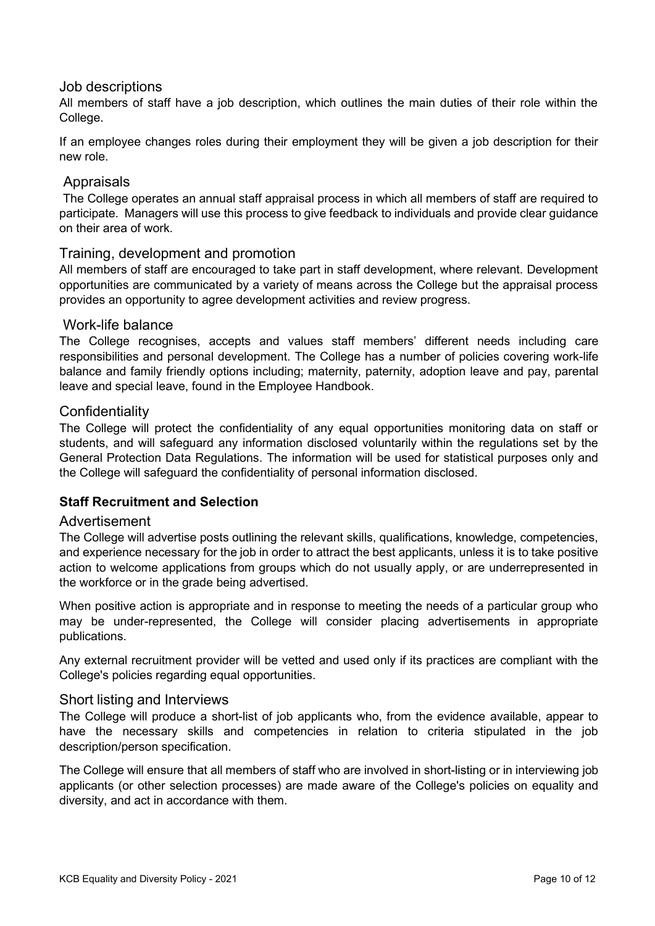## <span id="page-9-0"></span>Job descriptions

All members of staff have a job description, which outlines the main duties of their role within the College.

If an employee changes roles during their employment they will be given a job description for their new role.

## <span id="page-9-1"></span>Appraisals

The College operates an annual staff appraisal process in which all members of staff are required to participate. Managers will use this process to give feedback to individuals and provide clear guidance on their area of work.

#### <span id="page-9-2"></span>Training, development and promotion

All members of staff are encouraged to take part in staff development, where relevant. Development opportunities are communicated by a variety of means across the College but the appraisal process provides an opportunity to agree development activities and review progress.

#### <span id="page-9-3"></span>Work-life balance

The College recognises, accepts and values staff members' different needs including care responsibilities and personal development. The College has a number of policies covering work-life balance and family friendly options including; maternity, paternity, adoption leave and pay, parental leave and special leave, found in the Employee Handbook.

#### <span id="page-9-4"></span>**Confidentiality**

The College will protect the confidentiality of any equal opportunities monitoring data on staff or students, and will safeguard any information disclosed voluntarily within the regulations set by the General Protection Data Regulations. The information will be used for statistical purposes only and the College will safeguard the confidentiality of personal information disclosed.

## <span id="page-9-5"></span>**Staff Recruitment and Selection**

#### <span id="page-9-6"></span>Advertisement

The College will advertise posts outlining the relevant skills, qualifications, knowledge, competencies, and experience necessary for the job in order to attract the best applicants, unless it is to take positive action to welcome applications from groups which do not usually apply, or are underrepresented in the workforce or in the grade being advertised.

When positive action is appropriate and in response to meeting the needs of a particular group who may be under-represented, the College will consider placing advertisements in appropriate publications.

Any external recruitment provider will be vetted and used only if its practices are compliant with the College's policies regarding equal opportunities.

#### <span id="page-9-7"></span>Short listing and Interviews

The College will produce a short-list of job applicants who, from the evidence available, appear to have the necessary skills and competencies in relation to criteria stipulated in the job description/person specification.

The College will ensure that all members of staff who are involved in short-listing or in interviewing job applicants (or other selection processes) are made aware of the College's policies on equality and diversity, and act in accordance with them.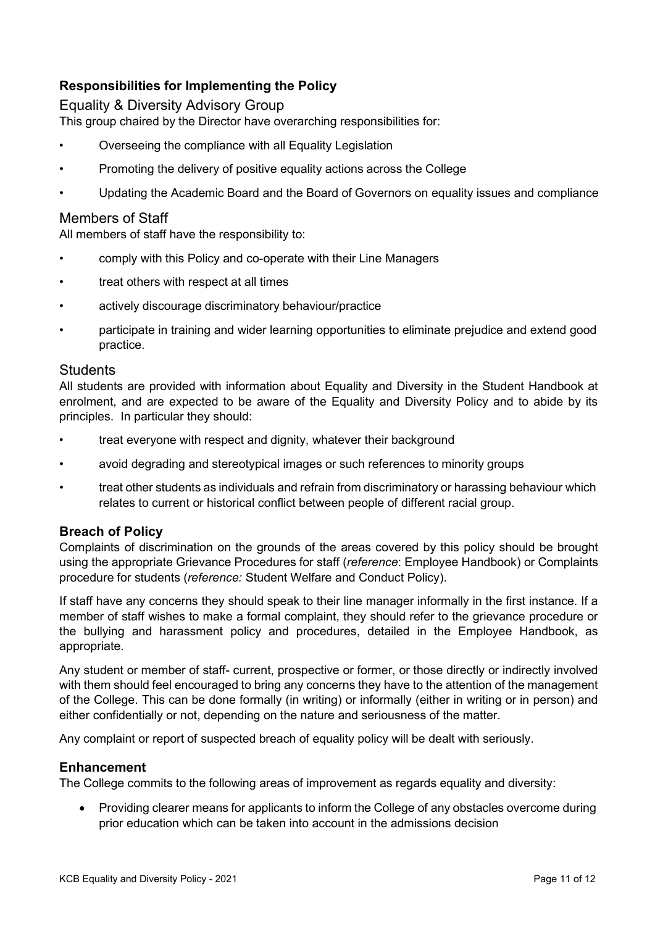## <span id="page-10-0"></span>**Responsibilities for Implementing the Policy**

## <span id="page-10-1"></span>Equality & Diversity Advisory Group

This group chaired by the Director have overarching responsibilities for:

- Overseeing the compliance with all Equality Legislation
- Promoting the delivery of positive equality actions across the College
- Updating the Academic Board and the Board of Governors on equality issues and compliance

## <span id="page-10-2"></span>Members of Staff

All members of staff have the responsibility to:

- comply with this Policy and co-operate with their Line Managers
- treat others with respect at all times
- actively discourage discriminatory behaviour/practice
- participate in training and wider learning opportunities to eliminate prejudice and extend good practice.

#### <span id="page-10-3"></span>**Students**

All students are provided with information about Equality and Diversity in the Student Handbook at enrolment, and are expected to be aware of the Equality and Diversity Policy and to abide by its principles. In particular they should:

- treat everyone with respect and dignity, whatever their background
- avoid degrading and stereotypical images or such references to minority groups
- treat other students as individuals and refrain from discriminatory or harassing behaviour which relates to current or historical conflict between people of different racial group.

#### <span id="page-10-4"></span>**Breach of Policy**

Complaints of discrimination on the grounds of the areas covered by this policy should be brought using the appropriate Grievance Procedures for staff (*reference*: Employee Handbook) or Complaints procedure for students (*reference:* Student Welfare and Conduct Policy).

If staff have any concerns they should speak to their line manager informally in the first instance. If a member of staff wishes to make a formal complaint, they should refer to the grievance procedure or the bullying and harassment policy and procedures, detailed in the Employee Handbook, as appropriate.

Any student or member of staff- current, prospective or former, or those directly or indirectly involved with them should feel encouraged to bring any concerns they have to the attention of the management of the College. This can be done formally (in writing) or informally (either in writing or in person) and either confidentially or not, depending on the nature and seriousness of the matter.

Any complaint or report of suspected breach of equality policy will be dealt with seriously.

#### <span id="page-10-5"></span>**Enhancement**

The College commits to the following areas of improvement as regards equality and diversity:

• Providing clearer means for applicants to inform the College of any obstacles overcome during prior education which can be taken into account in the admissions decision